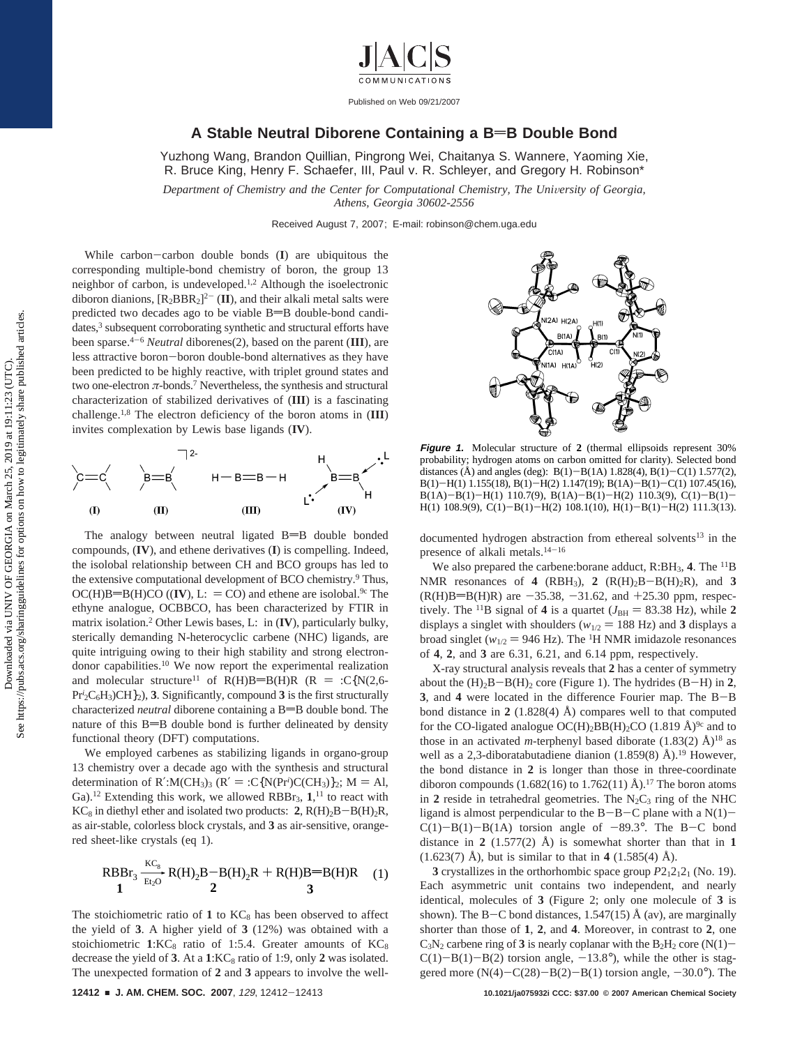

Published on Web 09/21/2007

## A Stable Neutral Diborene Containing a B=B Double Bond

Yuzhong Wang, Brandon Quillian, Pingrong Wei, Chaitanya S. Wannere, Yaoming Xie, R. Bruce King, Henry F. Schaefer, III, Paul v. R. Schleyer, and Gregory H. Robinson\*

*Department of Chemistry and the Center for Computational Chemistry, The University of Georgia, Athens, Georgia 30602-2556*

Received August 7, 2007; E-mail: robinson@chem.uga.edu

While carbon-carbon double bonds (**I**) are ubiquitous the corresponding multiple-bond chemistry of boron, the group 13 neighbor of carbon, is undeveloped.1,2 Although the isoelectronic diboron dianions,  $[R_2BBR_2]^2$ <sup>-</sup> (II), and their alkali metal salts were predicted two decades ago to be viable  $B=$ B double-bond candidates,<sup>3</sup> subsequent corroborating synthetic and structural efforts have been sparse.4-<sup>6</sup> *Neutral* diborenes(2), based on the parent (**III**), are less attractive boron-boron double-bond alternatives as they have been predicted to be highly reactive, with triplet ground states and two one-electron  $\pi$ -bonds.<sup>7</sup> Nevertheless, the synthesis and structural characterization of stabilized derivatives of (**III**) is a fascinating challenge.1,8 The electron deficiency of the boron atoms in (**III**) invites complexation by Lewis base ligands (**IV**).



The analogy between neutral ligated  $B=B$  double bonded compounds, (**IV**), and ethene derivatives (**I**) is compelling. Indeed, the isolobal relationship between CH and BCO groups has led to the extensive computational development of BCO chemistry.9 Thus,  $OC(H)B=B(H)CO$  ((IV), L:  $= CO$ ) and ethene are isolobal.<sup>9c</sup> The ethyne analogue, OCBBCO, has been characterized by FTIR in matrix isolation.2 Other Lewis bases, L: in (**IV**), particularly bulky, sterically demanding N-heterocyclic carbene (NHC) ligands, are quite intriguing owing to their high stability and strong electrondonor capabilities.<sup>10</sup> We now report the experimental realization and molecular structure<sup>11</sup> of R(H)B=B(H)R (R = :C{N(2,6-Pr*<sup>i</sup>* 2C6H3)CH}2), **3**. Significantly, compound **3** is the first structurally characterized *neutral* diborene containing a B=B double bond. The nature of this  $B = B$  double bond is further delineated by density functional theory (DFT) computations.

We employed carbenes as stabilizing ligands in organo-group 13 chemistry over a decade ago with the synthesis and structural determination of R':M(CH<sub>3</sub>)<sub>3</sub> (R' = :C{N(Pr<sup>j</sup>)C(CH<sub>3</sub>)}<sub>2</sub>; M = Al,<br>Ga)<sup>12</sup> Extending this work, we allowed RBBr, 1<sup>11</sup> to react with Ga).<sup>12</sup> Extending this work, we allowed  $RBBr<sub>3</sub>$ ,  $1$ ,<sup>11</sup> to react with  $KC_8$  in diethyl ether and isolated two products:  $2$ ,  $R(H)_2B - B(H)_2R$ , as air-stable, colorless block crystals, and **3** as air-sensitive, orangered sheet-like crystals (eq 1).

RBBr<sub>3</sub> 
$$
\frac{KC_8}{Et_2O}
$$
 R(H)<sub>2</sub>B-B(H)<sub>2</sub>R + R(H)B=B(H)R (1)  
\n1 2 3  
\nThe stoichiometric ratio of 1 to KC<sub>8</sub> has been observed to affect

the yield of **3**. A higher yield of **3** (12%) was obtained with a stoichiometric  $1:KC_8$  ratio of 1:5.4. Greater amounts of  $KC_8$ decrease the yield of  $3$ . At a  $1:KC_8$  ratio of 1:9, only  $2$  was isolated. The unexpected formation of **2** and **3** appears to involve the well-



**Figure 1.** Molecular structure of **2** (thermal ellipsoids represent 30% probability; hydrogen atoms on carbon omitted for clarity). Selected bond distances (Å) and angles (deg):  $B(1) - B(1A)$  1.828(4),  $B(1) - C(1)$  1.577(2), B(1)-H(1) 1.155(18), B(1)-H(2) 1.147(19); B(1A)-B(1)-C(1) 107.45(16), B(1A)-B(1)-H(1) 110.7(9), B(1A)-B(1)-H(2) 110.3(9), C(1)-B(1)- H(1) 108.9(9), C(1)-B(1)-H(2) 108.1(10), H(1)-B(1)-H(2) 111.3(13).

documented hydrogen abstraction from ethereal solvents<sup>13</sup> in the presence of alkali metals.14-<sup>16</sup>

We also prepared the carbene: borane adduct, R:BH<sub>3</sub>, 4. The <sup>11</sup>B NMR resonances of 4 (RBH<sub>3</sub>), 2 (R(H)<sub>2</sub>B-B(H)<sub>2</sub>R), and 3  $(R(H)B=B(H)R)$  are  $-35.38$ ,  $-31.62$ , and  $+25.30$  ppm, respectively. The <sup>11</sup>B signal of **4** is a quartet ( $J_{BH} = 83.38$  Hz), while **2** displays a singlet with shoulders ( $w_{1/2}$  = 188 Hz) and **3** displays a broad singlet ( $w_{1/2}$  = 946 Hz). The <sup>1</sup>H NMR imidazole resonances of **4**, **2**, and **3** are 6.31, 6.21, and 6.14 ppm, respectively.

X-ray structural analysis reveals that **2** has a center of symmetry about the  $(H)_2B-B(H)_2$  core (Figure 1). The hydrides  $(B-H)$  in **2**, **<sup>3</sup>**, and **<sup>4</sup>** were located in the difference Fourier map. The B-<sup>B</sup> bond distance in **2** (1.828(4) Å) compares well to that computed for the CO-ligated analogue OC(H)<sub>2</sub>BB(H)<sub>2</sub>CO (1.819 Å)<sup>9c</sup> and to those in an activated *m*-terphenyl based diborate (1.83(2)  $\AA$ )<sup>18</sup> as well as a 2,3-diboratabutadiene dianion (1.859(8) Å).<sup>19</sup> However, the bond distance in **2** is longer than those in three-coordinate diboron compounds  $(1.682(16)$  to  $1.762(11)$  Å).<sup>17</sup> The boron atoms in 2 reside in tetrahedral geometries. The  $N_2C_3$  ring of the NHC ligand is almost perpendicular to the  $B-B-C$  plane with a  $N(1)$ - $C(1)-B(1)-B(1)$  torsion angle of  $-89.3^{\circ}$ . The B-C bond distance in **2** (1.577(2) Å) is somewhat shorter than that in **1** (1.623(7) Å), but is similar to that in **4** (1.585(4) Å).

**3** crystallizes in the orthorhombic space group  $P2_12_12_1$  (No. 19). Each asymmetric unit contains two independent, and nearly identical, molecules of **3** (Figure 2; only one molecule of **3** is shown). The B-C bond distances, 1.547(15) Å (av), are marginally shorter than those of **1**, **2**, and **4**. Moreover, in contrast to **2**, one  $C_3N_2$  carbene ring of **3** is nearly coplanar with the  $B_2H_2$  core (N(1)- $C(1)-B(1)-B(2)$  torsion angle,  $-13.8^{\circ}$ ), while the other is staggered more  $(N(4)-C(28)-B(2)-B(1)$  torsion angle,  $-30.0^{\circ}$ ). The